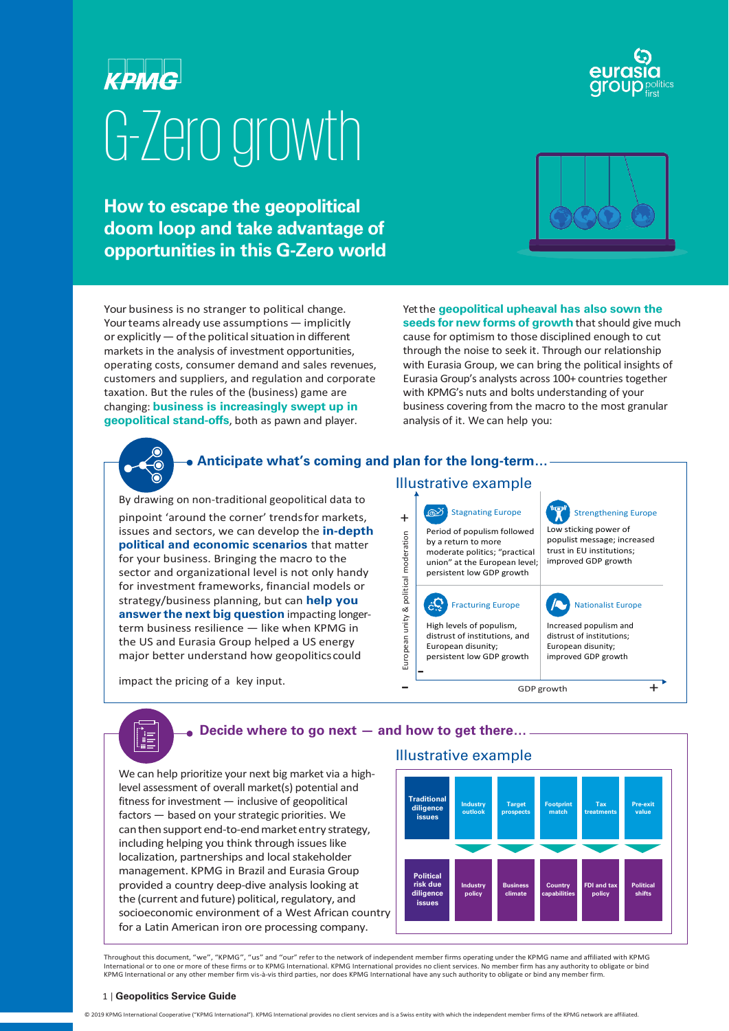# **KPMG** G-Zero growth

**How to escape the geopolitical doom loop and take advantage of opportunities in this G-Zero world**

Your business is no stranger to political change. Yourteams already use assumptions — implicitly or explicitly  $-$  of the political situation in different markets in the analysis of investment opportunities, operating costs, consumer demand and sales revenues, customers and suppliers, and regulation and corporate taxation. But the rules of the (business) game are changing: **business is increasingly swept up in geopolitical stand-offs**, both as pawn and player.



Yet the **geopolitical upheaval has also sown the seeds for new forms of growth** that should give much cause for optimism to those disciplined enough to cut through the noise to seek it. Through our relationship with Eurasia Group, we can bring the political insights of Eurasia Group's analysts across 100+ countries together with KPMG's nuts and bolts understanding of your business covering from the macro to the most granular analysis of it. We can help you:



ÎE

# **Anticipate what's coming and plan for the long-term…**

By drawing on non-traditional geopolitical data to pinpoint 'around the corner' trends for markets,  $+$ issues and sectors, we can develop the **in-depth political and economic scenarios** that matter for your business. Bringing the macro to the sector and organizational level is not only handy for investment frameworks, financial models or strategy/business planning, but can **help you answerthe next big question** impacting longerterm business resilience — like when KPMG in the US and Eurasia Group helped a US energy major better understand how geopoliticscould

impact the pricing of a key input.

# Illustrative example

Stagnating Europe ര് Period of populism followed European unity & political moderation European unity & political moderation by a return to more moderate politics; "practical union" at the European level; persistent low GDP growth

 $\hat{c}^{\mathbf{Q}}$ Fracturing Europe High levels of populism, distrust of institutions, and European disunity; persistent low GDP growth -

Strengthening Europe Low sticking power of populist message; increased trust in EU institutions; improved GDP growth Nationalist Europe

> Increased populism and distrust of institutions; European disunity; improved GDP growth

 $\overline{\phantom{a}}$  GDP growth  $\overline{\phantom{a}}$ 

## **Decide where to go next — and how to get there…**

We can help prioritize your next big market via a highlevel assessment of overall market(s) potential and fitness for investment — inclusive of geopolitical factors — based on your strategic priorities. We can then support end-to-end market entry strategy, including helping you think through issues like localization, partnerships and local stakeholder management. KPMG in Brazil and Eurasia Group provided a country deep-dive analysis looking at the (current and future) political, regulatory, and socioeconomic environment of a West African country for a Latin American iron ore processing company.

## Illustrative example



Throughout this document, "we", "KPMG", "us" and "our" refer to the network of independent member firms operating under the KPMG name and affiliated with KPMG International or to one or more of these firms or to KPMG International. KPMG International provides no client services. No member firm has any authority to obligate or bind KPMG International or any other member firm vis-à-vis third parties, nor does KPMG International have any such authority to obligate or bind any member firm.

#### 1 | **Geopolitics Service Guide**

© 2019 KPMG International Cooperative ("KPMG International"). KPMG International provides no client services and is a Swiss entity with which the independent member firms of the KPMG network are affiliated.